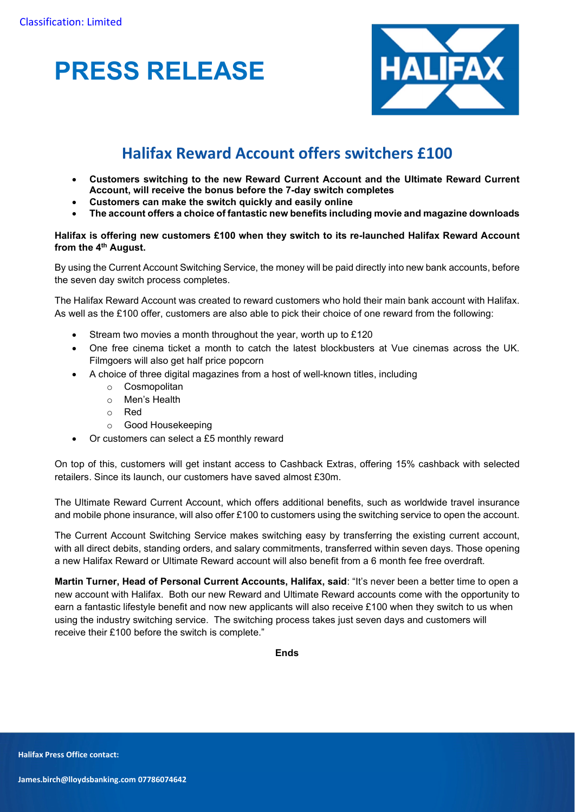



# Halifax Reward Account offers switchers £100

- Customers switching to the new Reward Current Account and the Ultimate Reward Current Account, will receive the bonus before the 7-day switch completes
- Customers can make the switch quickly and easily online
- The account offers a choice of fantastic new benefits including movie and magazine downloads

# Halifax is offering new customers £100 when they switch to its re-launched Halifax Reward Account from the 4<sup>th</sup> August.

By using the Current Account Switching Service, the money will be paid directly into new bank accounts, before the seven day switch process completes.

The Halifax Reward Account was created to reward customers who hold their main bank account with Halifax. As well as the £100 offer, customers are also able to pick their choice of one reward from the following:

- Stream two movies a month throughout the year, worth up to £120
- One free cinema ticket a month to catch the latest blockbusters at Vue cinemas across the UK. Filmgoers will also get half price popcorn
- A choice of three digital magazines from a host of well-known titles, including
	- o Cosmopolitan
	- o Men's Health
	- o Red
	- o Good Housekeeping
- Or customers can select a £5 monthly reward

On top of this, customers will get instant access to Cashback Extras, offering 15% cashback with selected retailers. Since its launch, our customers have saved almost £30m.

The Ultimate Reward Current Account, which offers additional benefits, such as worldwide travel insurance and mobile phone insurance, will also offer £100 to customers using the switching service to open the account.

The Current Account Switching Service makes switching easy by transferring the existing current account, with all direct debits, standing orders, and salary commitments, transferred within seven days. Those opening a new Halifax Reward or Ultimate Reward account will also benefit from a 6 month fee free overdraft.

Martin Turner, Head of Personal Current Accounts, Halifax, said: "It's never been a better time to open a new account with Halifax. Both our new Reward and Ultimate Reward accounts come with the opportunity to earn a fantastic lifestyle benefit and now new applicants will also receive £100 when they switch to us when using the industry switching service. The switching process takes just seven days and customers will receive their £100 before the switch is complete."

Ends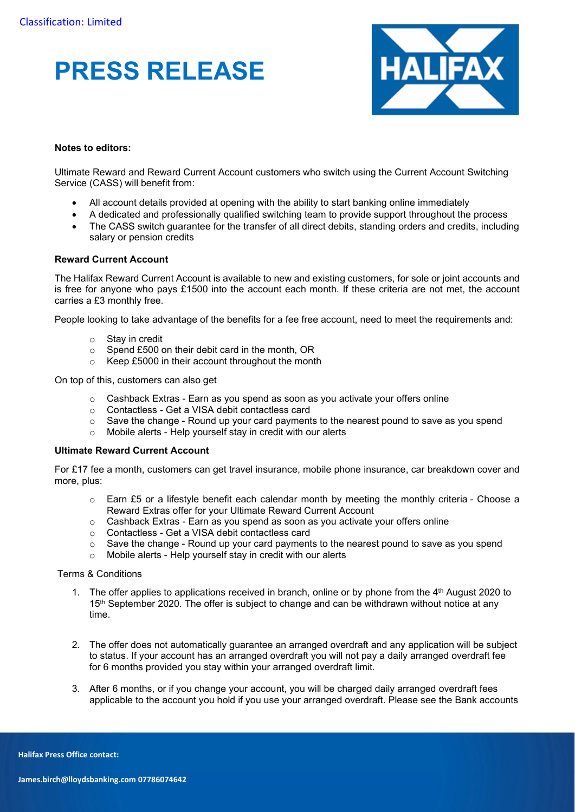# PRESS RELEASE



# Notes to editors:

Ultimate Reward and Reward Current Account customers who switch using the Current Account Switching Service (CASS) will benefit from:

- All account details provided at opening with the ability to start banking online immediately
- A dedicated and professionally qualified switching team to provide support throughout the process
- The CASS switch guarantee for the transfer of all direct debits, standing orders and credits, including salary or pension credits

### Reward Current Account

The Halifax Reward Current Account is available to new and existing customers, for sole or joint accounts and is free for anyone who pays £1500 into the account each month. If these criteria are not met, the account carries a £3 monthly free.

People looking to take advantage of the benefits for a fee free account, need to meet the requirements and:

- o Stay in credit
- o Spend £500 on their debit card in the month, OR
- o Keep £5000 in their account throughout the month

On top of this, customers can also get

- o Cashback Extras Earn as you spend as soon as you activate your offers online
- o Contactless Get a VISA debit contactless card
- $\circ$  Save the change Round up your card payments to the nearest pound to save as you spend  $\circ$  Mobile alerts Help yourself stay in credit with our alerts
- Mobile alerts Help yourself stay in credit with our alerts

### Ultimate Reward Current Account

For £17 fee a month, customers can get travel insurance, mobile phone insurance, car breakdown cover and more, plus:

- o Earn £5 or a lifestyle benefit each calendar month by meeting the monthly criteria Choose a Reward Extras offer for your Ultimate Reward Current Account
- o Cashback Extras Earn as you spend as soon as you activate your offers online
- o Contactless Get a VISA debit contactless card
- $\circ$  Save the change Round up your card payments to the nearest pound to save as you spend
- o Mobile alerts Help yourself stay in credit with our alerts

### Terms & Conditions

- 1. The offer applies to applications received in branch, online or by phone from the  $4<sup>th</sup>$  August 2020 to  $15<sup>th</sup>$  September 2020. The offer is subject to change and can be withdrawn without notice at any time.
- 2. The offer does not automatically guarantee an arranged overdraft and any application will be subject to status. If your account has an arranged overdraft you will not pay a daily arranged overdraft fee for 6 months provided you stay within your arranged overdraft limit.
- 3. After 6 months, or if you change your account, you will be charged daily arranged overdraft fees applicable to the account you hold if you use your arranged overdraft. Please see the Bank accounts